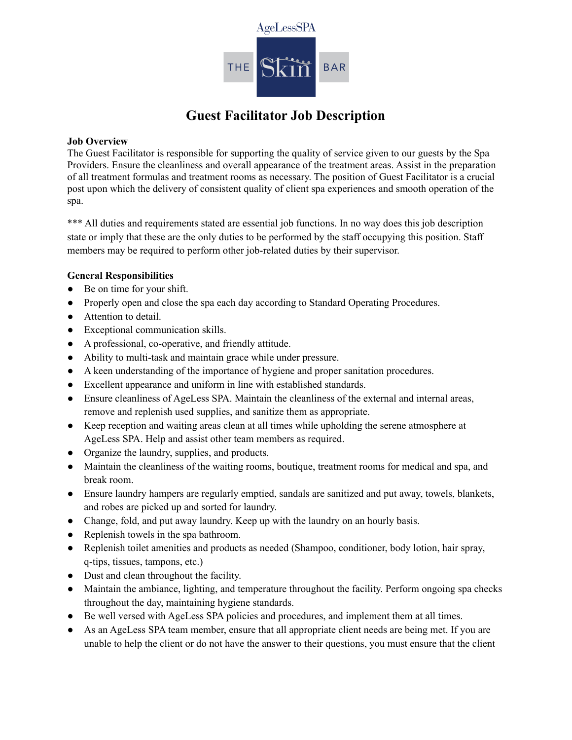

# **Guest Facilitator Job Description**

# **Job Overview**

The Guest Facilitator is responsible for supporting the quality of service given to our guests by the Spa Providers. Ensure the cleanliness and overall appearance of the treatment areas. Assist in the preparation of all treatment formulas and treatment rooms as necessary. The position of Guest Facilitator is a crucial post upon which the delivery of consistent quality of client spa experiences and smooth operation of the spa.

\*\*\* All duties and requirements stated are essential job functions. In no way does this job description state or imply that these are the only duties to be performed by the staff occupying this position. Staff members may be required to perform other job-related duties by their supervisor.

# **General Responsibilities**

- Be on time for your shift.
- Properly open and close the spa each day according to Standard Operating Procedures.
- Attention to detail.
- Exceptional communication skills.
- A professional, co-operative, and friendly attitude.
- Ability to multi-task and maintain grace while under pressure.
- A keen understanding of the importance of hygiene and proper sanitation procedures.
- Excellent appearance and uniform in line with established standards.
- Ensure cleanliness of AgeLess SPA. Maintain the cleanliness of the external and internal areas, remove and replenish used supplies, and sanitize them as appropriate.
- Keep reception and waiting areas clean at all times while upholding the serene atmosphere at AgeLess SPA. Help and assist other team members as required.
- Organize the laundry, supplies, and products.
- Maintain the cleanliness of the waiting rooms, boutique, treatment rooms for medical and spa, and break room.
- Ensure laundry hampers are regularly emptied, sandals are sanitized and put away, towels, blankets, and robes are picked up and sorted for laundry.
- Change, fold, and put away laundry. Keep up with the laundry on an hourly basis.
- Replenish towels in the spa bathroom.
- Replenish toilet amenities and products as needed (Shampoo, conditioner, body lotion, hair spray, q-tips, tissues, tampons, etc.)
- Dust and clean throughout the facility.
- Maintain the ambiance, lighting, and temperature throughout the facility. Perform ongoing spa checks throughout the day, maintaining hygiene standards.
- Be well versed with AgeLess SPA policies and procedures, and implement them at all times.
- As an AgeLess SPA team member, ensure that all appropriate client needs are being met. If you are unable to help the client or do not have the answer to their questions, you must ensure that the client